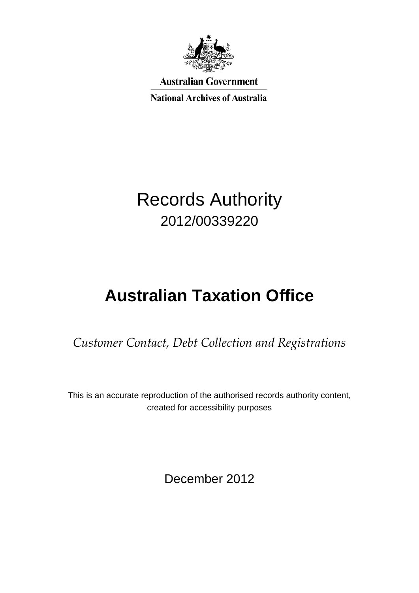

**Australian Government** 

**National Archives of Australia** 

## Records Authority 2012/00339220

# **Australian Taxation Office**

*Customer Contact, Debt Collection and Registrations*

This is an accurate reproduction of the authorised records authority content, created for accessibility purposes

December 2012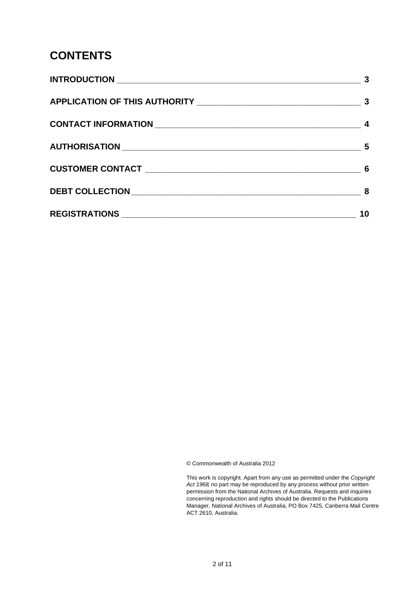### **CONTENTS**

| 3    |
|------|
|      |
|      |
| $-5$ |
|      |
| - 8  |
| 10   |

© Commonwealth of Australia 2012

This work is copyright. Apart from any use as permitted under the *Copyright Act 1968,* no part may be reproduced by any process without prior written permission from the National Archives of Australia. Requests and inquiries concerning reproduction and rights should be directed to the Publications Manager, National Archives of Australia, PO Box 7425, Canberra Mail Centre ACT 2610, Australia.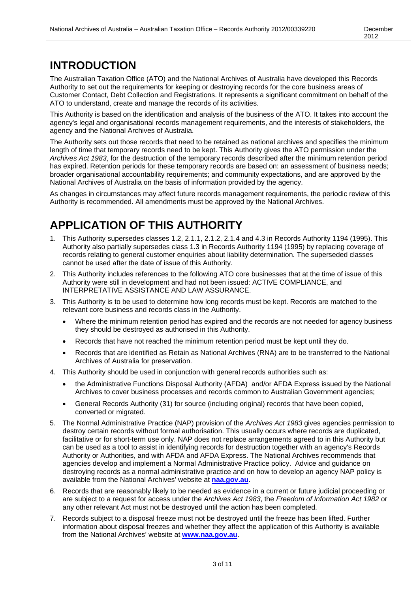### **INTRODUCTION**

The Australian Taxation Office (ATO) and the National Archives of Australia have developed this Records Authority to set out the requirements for keeping or destroying records for the core business areas of Customer Contact, Debt Collection and Registrations. It represents a significant commitment on behalf of the ATO to understand, create and manage the records of its activities.

This Authority is based on the identification and analysis of the business of the ATO. It takes into account the agency's legal and organisational records management requirements, and the interests of stakeholders, the agency and the National Archives of Australia.

The Authority sets out those records that need to be retained as national archives and specifies the minimum length of time that temporary records need to be kept. This Authority gives the ATO permission under the *Archives Act 1983*, for the destruction of the temporary records described after the minimum retention period has expired. Retention periods for these temporary records are based on: an assessment of business needs; broader organisational accountability requirements; and community expectations, and are approved by the National Archives of Australia on the basis of information provided by the agency.

As changes in circumstances may affect future records management requirements, the periodic review of this Authority is recommended. All amendments must be approved by the National Archives.

### **APPLICATION OF THIS AUTHORITY**

- 1. This Authority supersedes classes 1.2, 2.1.1, 2.1.2, 2.1.4 and 4.3 in Records Authority 1194 (1995). This Authority also partially supersedes class 1.3 in Records Authority 1194 (1995) by replacing coverage of records relating to general customer enquiries about liability determination. The superseded classes cannot be used after the date of issue of this Authority.
- 2. This Authority includes references to the following ATO core businesses that at the time of issue of this Authority were still in development and had not been issued: ACTIVE COMPLIANCE, and INTERPRETATIVE ASSISTANCE AND LAW ASSURANCE.
- 3. This Authority is to be used to determine how long records must be kept. Records are matched to the relevant core business and records class in the Authority.
	- Where the minimum retention period has expired and the records are not needed for agency business they should be destroyed as authorised in this Authority.
	- Records that have not reached the minimum retention period must be kept until they do.
	- Records that are identified as Retain as National Archives (RNA) are to be transferred to the National Archives of Australia for preservation.
- 4. This Authority should be used in conjunction with general records authorities such as:
	- the Administrative Functions Disposal Authority (AFDA) and/or AFDA Express issued by the National Archives to cover business processes and records common to Australian Government agencies;
	- General Records Authority (31) for source (including original) records that have been copied, converted or migrated.
- 5. The Normal Administrative Practice (NAP) provision of the *Archives Act 1983* gives agencies permission to destroy certain records without formal authorisation. This usually occurs where records are duplicated, facilitative or for short-term use only. NAP does not replace arrangements agreed to in this Authority but can be used as a tool to assist in identifying records for destruction together with an agency's Records Authority or Authorities, and with AFDA and AFDA Express. The National Archives recommends that agencies develop and implement a Normal Administrative Practice policy. Advice and guidance on destroying records as a normal administrative practice and on how to develop an agency NAP policy is available from the National Archives' website at **[naa.gov.au](http://www.naa.gov.au/)**.
- 6. Records that are reasonably likely to be needed as evidence in a current or future judicial proceeding or are subject to a request for access under the *Archives Act 1983*, the *Freedom of Information Act 1982* or any other relevant Act must not be destroyed until the action has been completed.
- 7. Records subject to a disposal freeze must not be destroyed until the freeze has been lifted. Further information about disposal freezes and whether they affect the application of this Authority is available from the National Archives' website at **[www.naa.gov.au](http://www.naa.gov.au/)**.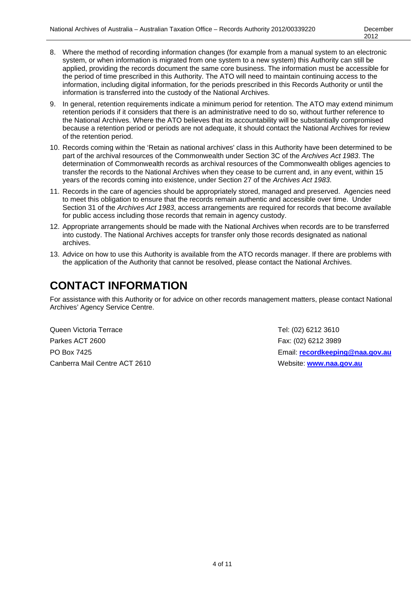- 8. Where the method of recording information changes (for example from a manual system to an electronic system, or when information is migrated from one system to a new system) this Authority can still be applied, providing the records document the same core business. The information must be accessible for the period of time prescribed in this Authority. The ATO will need to maintain continuing access to the information, including digital information, for the periods prescribed in this Records Authority or until the information is transferred into the custody of the National Archives.
- 9. In general, retention requirements indicate a minimum period for retention. The ATO may extend minimum retention periods if it considers that there is an administrative need to do so, without further reference to the National Archives. Where the ATO believes that its accountability will be substantially compromised because a retention period or periods are not adequate, it should contact the National Archives for review of the retention period.
- 10. Records coming within the 'Retain as national archives' class in this Authority have been determined to be part of the archival resources of the Commonwealth under Section 3C of the *Archives Act 1983*. The determination of Commonwealth records as archival resources of the Commonwealth obliges agencies to transfer the records to the National Archives when they cease to be current and, in any event, within 15 years of the records coming into existence, under Section 27 of the *Archives Act 1983*.
- 11. Records in the care of agencies should be appropriately stored, managed and preserved. Agencies need to meet this obligation to ensure that the records remain authentic and accessible over time. Under Section 31 of the *Archives Act 1983*, access arrangements are required for records that become available for public access including those records that remain in agency custody.
- 12. Appropriate arrangements should be made with the National Archives when records are to be transferred into custody. The National Archives accepts for transfer only those records designated as national archives.
- 13. Advice on how to use this Authority is available from the ATO records manager. If there are problems with the application of the Authority that cannot be resolved, please contact the National Archives.

### **CONTACT INFORMATION**

For assistance with this Authority or for advice on other records management matters, please contact National Archives' Agency Service Centre.

Queen Victoria Terrace **Tel: (02) 6212 3610** Parkes ACT 2600 **Fax: (02) 6212 3989** Canberra Mail Centre ACT 2610 Website: **[www.naa.gov.au](http://www.naa.gov.au/)**

PO Box 7425 Email: **[recordkeeping@naa.gov.au](mailto:recordkeeping@naa.gov.au)**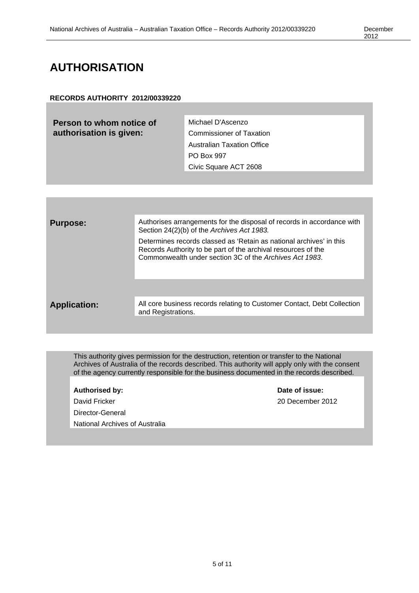### **AUTHORISATION**

#### **RECORDS AUTHORITY 2012/00339220**

**Person to whom notice of authorisation is given:** Michael D'Ascenzo Commissioner of Taxation

Australian Taxation Office PO Box 997 Civic Square ACT 2608

| <b>Purpose:</b>     | Authorises arrangements for the disposal of records in accordance with<br>Section 24(2)(b) of the Archives Act 1983.                                                                            |
|---------------------|-------------------------------------------------------------------------------------------------------------------------------------------------------------------------------------------------|
|                     | Determines records classed as 'Retain as national archives' in this<br>Records Authority to be part of the archival resources of the<br>Commonwealth under section 3C of the Archives Act 1983. |
|                     |                                                                                                                                                                                                 |
| <b>Application:</b> | All core business records relating to Customer Contact, Debt Collection<br>and Registrations.                                                                                                   |
|                     |                                                                                                                                                                                                 |

This authority gives permission for the destruction, retention or transfer to the National Archives of Australia of the records described. This authority will apply only with the consent of the agency currently responsible for the business documented in the records described.

| <b>Authorised by:</b>          |
|--------------------------------|
| David Fricker                  |
| Director-General               |
| National Archives of Australia |
|                                |

**Date of issue:** 20 December 2012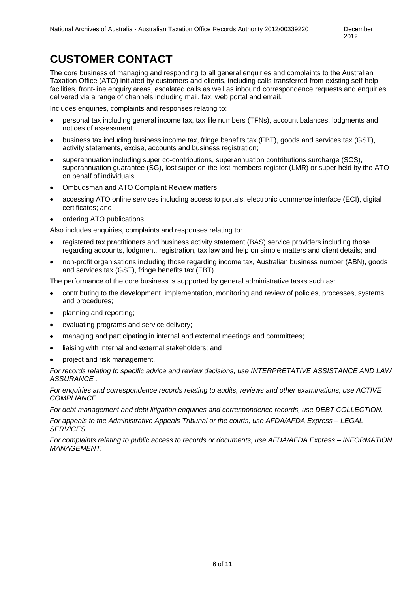### **CUSTOMER CONTACT**

The core business of managing and responding to all general enquiries and complaints to the Australian Taxation Office (ATO) initiated by customers and clients, including calls transferred from existing self-help facilities, front-line enquiry areas, escalated calls as well as inbound correspondence requests and enquiries delivered via a range of channels including mail, fax, web portal and email.

Includes enquiries, complaints and responses relating to:

- personal tax including general income tax, tax file numbers (TFNs), account balances, lodgments and notices of assessment;
- business tax including business income tax, fringe benefits tax (FBT), goods and services tax (GST), activity statements, excise, accounts and business registration;
- superannuation including super co-contributions, superannuation contributions surcharge (SCS), superannuation guarantee (SG), lost super on the lost members register (LMR) or super held by the ATO on behalf of individuals;
- Ombudsman and ATO Complaint Review matters;
- accessing ATO online services including access to portals, electronic commerce interface (ECI), digital certificates; and
- ordering ATO publications.

Also includes enquiries, complaints and responses relating to:

- registered tax practitioners and business activity statement (BAS) service providers including those regarding accounts, lodgment, registration, tax law and help on simple matters and client details; and
- non-profit organisations including those regarding income tax, Australian business number (ABN), goods and services tax (GST), fringe benefits tax (FBT).

The performance of the core business is supported by general administrative tasks such as:

- contributing to the development, implementation, monitoring and review of policies, processes, systems and procedures;
- planning and reporting;
- evaluating programs and service delivery;
- managing and participating in internal and external meetings and committees;
- liaising with internal and external stakeholders; and
- project and risk management.

*For records relating to specific advice and review decisions, use INTERPRETATIVE ASSISTANCE AND LAW ASSURANCE .*

*For enquiries and correspondence records relating to audits, reviews and other examinations, use ACTIVE COMPLIANCE.* 

*For debt management and debt litigation enquiries and correspondence records, use DEBT COLLECTION.*

*For appeals to the Administrative Appeals Tribunal or the courts, use AFDA/AFDA Express – LEGAL SERVICES.*

*For complaints relating to public access to records or documents, use AFDA/AFDA Express – INFORMATION MANAGEMENT.*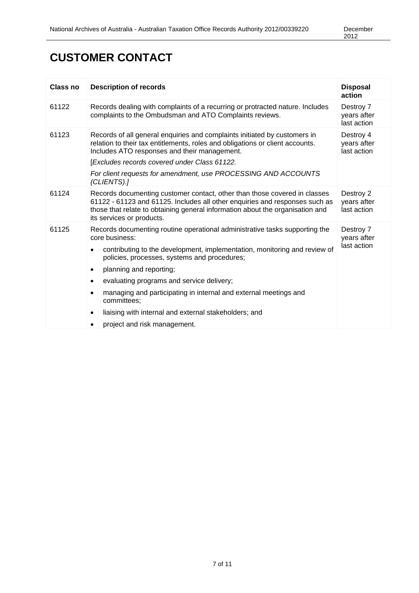### **CUSTOMER CONTACT**

| Class no | <b>Description of records</b>                                                                                                                                                                                                                                                                                                                                                                                                                                                                                                                   | <b>Disposal</b><br>action               |
|----------|-------------------------------------------------------------------------------------------------------------------------------------------------------------------------------------------------------------------------------------------------------------------------------------------------------------------------------------------------------------------------------------------------------------------------------------------------------------------------------------------------------------------------------------------------|-----------------------------------------|
| 61122    | Records dealing with complaints of a recurring or protracted nature. Includes<br>complaints to the Ombudsman and ATO Complaints reviews.                                                                                                                                                                                                                                                                                                                                                                                                        | Destroy 7<br>years after<br>last action |
| 61123    | Records of all general enquiries and complaints initiated by customers in<br>relation to their tax entitlements, roles and obligations or client accounts.<br>Includes ATO responses and their management.<br>[Excludes records covered under Class 61122.<br>For client requests for amendment, use PROCESSING AND ACCOUNTS<br>(CLIENTS).]                                                                                                                                                                                                     | Destroy 4<br>years after<br>last action |
| 61124    | Records documenting customer contact, other than those covered in classes<br>61122 - 61123 and 61125. Includes all other enquiries and responses such as<br>those that relate to obtaining general information about the organisation and<br>its services or products.                                                                                                                                                                                                                                                                          | Destroy 2<br>years after<br>last action |
| 61125    | Records documenting routine operational administrative tasks supporting the<br>core business:<br>contributing to the development, implementation, monitoring and review of<br>policies, processes, systems and procedures;<br>planning and reporting;<br>$\bullet$<br>evaluating programs and service delivery;<br>$\bullet$<br>managing and participating in internal and external meetings and<br>$\bullet$<br>committees;<br>liaising with internal and external stakeholders; and<br>$\bullet$<br>project and risk management.<br>$\bullet$ | Destroy 7<br>years after<br>last action |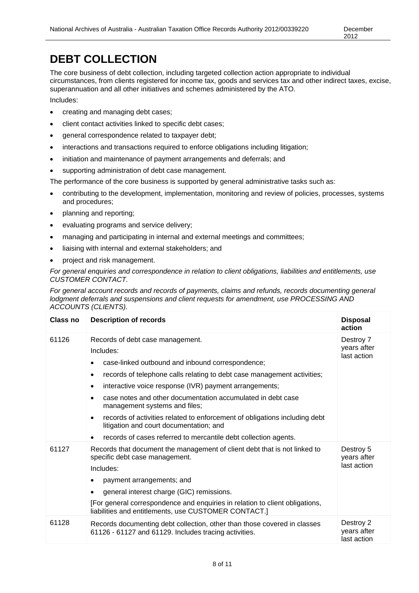### **DEBT COLLECTION**

The core business of debt collection, including targeted collection action appropriate to individual circumstances, from clients registered for income tax, goods and services tax and other indirect taxes, excise, superannuation and all other initiatives and schemes administered by the ATO.

Includes:

- creating and managing debt cases;
- client contact activities linked to specific debt cases;
- general correspondence related to taxpayer debt;
- interactions and transactions required to enforce obligations including litigation;
- initiation and maintenance of payment arrangements and deferrals; and
- supporting administration of debt case management.

The performance of the core business is supported by general administrative tasks such as:

- contributing to the development, implementation, monitoring and review of policies, processes, systems and procedures;
- planning and reporting;
- evaluating programs and service delivery;
- managing and participating in internal and external meetings and committees;
- liaising with internal and external stakeholders; and
- project and risk management.

*For general enquiries and correspondence in relation to client obligations, liabilities and entitlements, use CUSTOMER CONTACT.*

*For general account records and records of payments, claims and refunds, records documenting general lodgment deferrals and suspensions and client requests for amendment, use PROCESSING AND ACCOUNTS (CLIENTS).*

| Class no | <b>Description of records</b>                                                                                                                                                                                                                                                                                                                                                                                                                                                                                                                                     | <b>Disposal</b><br>action               |
|----------|-------------------------------------------------------------------------------------------------------------------------------------------------------------------------------------------------------------------------------------------------------------------------------------------------------------------------------------------------------------------------------------------------------------------------------------------------------------------------------------------------------------------------------------------------------------------|-----------------------------------------|
| 61126    | Records of debt case management.<br>Includes:<br>case-linked outbound and inbound correspondence;<br>records of telephone calls relating to debt case management activities;<br>٠<br>interactive voice response (IVR) payment arrangements;<br>case notes and other documentation accumulated in debt case<br>management systems and files;<br>records of activities related to enforcement of obligations including debt<br>$\bullet$<br>litigation and court documentation; and<br>records of cases referred to mercantile debt collection agents.<br>$\bullet$ | Destroy 7<br>years after<br>last action |
| 61127    | Records that document the management of client debt that is not linked to<br>specific debt case management.<br>Includes:<br>payment arrangements; and<br>$\bullet$<br>general interest charge (GIC) remissions.<br>[For general correspondence and enquiries in relation to client obligations,<br>liabilities and entitlements, use CUSTOMER CONTACT.]                                                                                                                                                                                                           | Destroy 5<br>years after<br>last action |
| 61128    | Records documenting debt collection, other than those covered in classes<br>61126 - 61127 and 61129. Includes tracing activities.                                                                                                                                                                                                                                                                                                                                                                                                                                 | Destroy 2<br>years after<br>last action |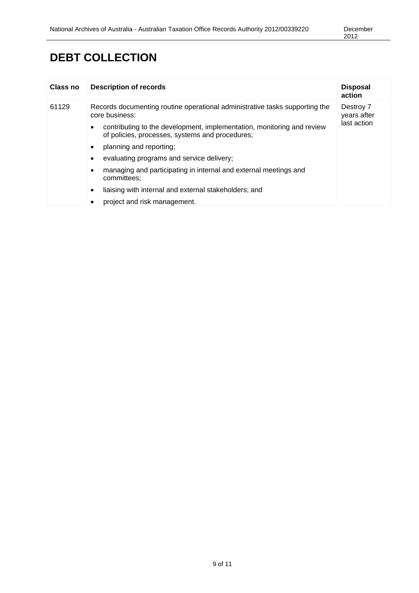### **DEBT COLLECTION**

| Class no | <b>Description of records</b>                                                                                                                                                                                                                                                                                                                                                                                                                                                                           | <b>Disposal</b><br>action               |
|----------|---------------------------------------------------------------------------------------------------------------------------------------------------------------------------------------------------------------------------------------------------------------------------------------------------------------------------------------------------------------------------------------------------------------------------------------------------------------------------------------------------------|-----------------------------------------|
| 61129    | Records documenting routine operational administrative tasks supporting the<br>core business:<br>contributing to the development, implementation, monitoring and review<br>٠<br>of policies, processes, systems and procedures;<br>planning and reporting;<br>٠<br>evaluating programs and service delivery;<br>٠<br>managing and participating in internal and external meetings and<br>٠<br>committees:<br>liaising with internal and external stakeholders; and<br>٠<br>project and risk management. | Destroy 7<br>years after<br>last action |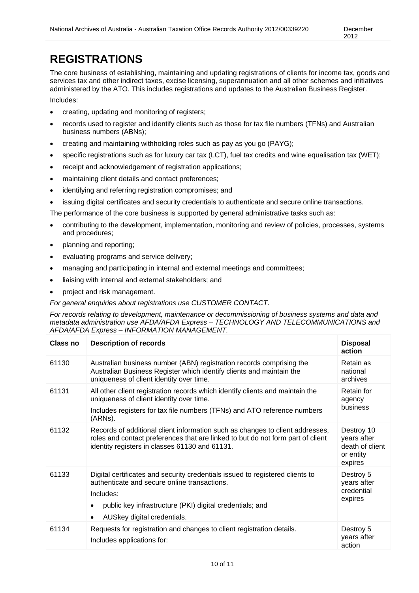### **REGISTRATIONS**

The core business of establishing, maintaining and updating registrations of clients for income tax, goods and services tax and other indirect taxes, excise licensing, superannuation and all other schemes and initiatives administered by the ATO. This includes registrations and updates to the Australian Business Register.

Includes:

- creating, updating and monitoring of registers;
- records used to register and identify clients such as those for tax file numbers (TFNs) and Australian business numbers (ABNs);
- creating and maintaining withholding roles such as pay as you go (PAYG);
- specific registrations such as for luxury car tax (LCT), fuel tax credits and wine equalisation tax (WET);
- receipt and acknowledgement of registration applications;
- maintaining client details and contact preferences;
- identifying and referring registration compromises; and
- issuing digital certificates and security credentials to authenticate and secure online transactions.

The performance of the core business is supported by general administrative tasks such as:

- contributing to the development, implementation, monitoring and review of policies, processes, systems and procedures;
- planning and reporting;
- evaluating programs and service delivery;
- managing and participating in internal and external meetings and committees;
- liaising with internal and external stakeholders; and
- project and risk management.

*For general enquiries about registrations use CUSTOMER CONTACT.* 

*For records relating to development, maintenance or decommissioning of business systems and data and metadata administration use AFDA/AFDA Express – TECHNOLOGY AND TELECOMMUNICATIONS and AFDA/AFDA Express – INFORMATION MANAGEMENT.*

| Class no | <b>Description of records</b>                                                                                                                                                                                                                                   | <b>Disposal</b><br>action                                            |
|----------|-----------------------------------------------------------------------------------------------------------------------------------------------------------------------------------------------------------------------------------------------------------------|----------------------------------------------------------------------|
| 61130    | Australian business number (ABN) registration records comprising the<br>Australian Business Register which identify clients and maintain the<br>uniqueness of client identity over time.                                                                        | Retain as<br>national<br>archives                                    |
| 61131    | All other client registration records which identify clients and maintain the<br>uniqueness of client identity over time.<br>Includes registers for tax file numbers (TFNs) and ATO reference numbers<br>(ARNs).                                                | Retain for<br>agency<br>business                                     |
| 61132    | Records of additional client information such as changes to client addresses,<br>roles and contact preferences that are linked to but do not form part of client<br>identity registers in classes 61130 and 61131.                                              | Destroy 10<br>years after<br>death of client<br>or entity<br>expires |
| 61133    | Digital certificates and security credentials issued to registered clients to<br>authenticate and secure online transactions.<br>Includes:<br>public key infrastructure (PKI) digital credentials; and<br>$\bullet$<br>AUSkey digital credentials.<br>$\bullet$ | Destroy 5<br>years after<br>credential<br>expires                    |
| 61134    | Requests for registration and changes to client registration details.<br>Includes applications for:                                                                                                                                                             | Destroy 5<br>years after<br>action                                   |